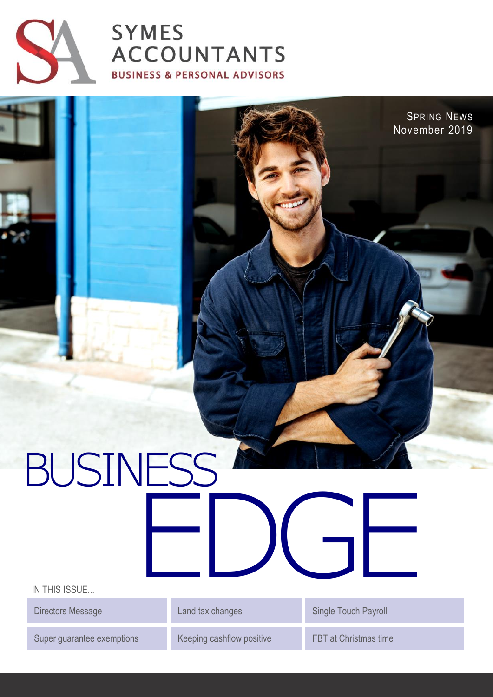

# **SYMES ACCOUNTANTS BUSINESS & PERSONAL ADVISORS**

# BUSINESS EDGE

IN THIS ISSUE...

Super guarantee exemptions Keeping cashflow positive FBT at Christmas time

Directors Message Land tax changes Controller Single Touch Payroll

SPRING NEWS November 2019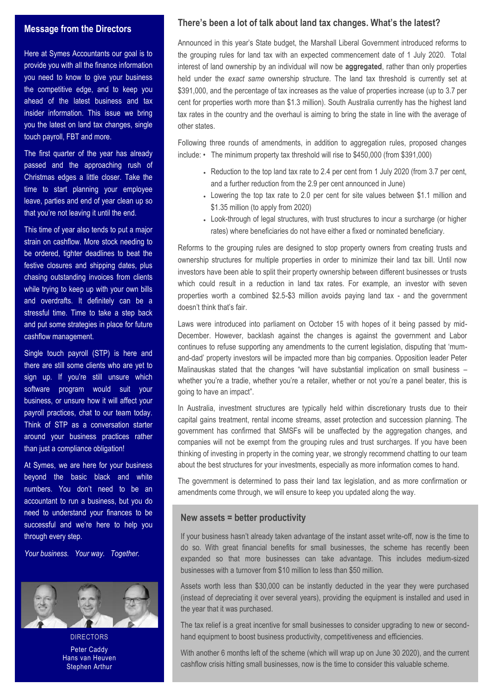#### **Message from the Directors**

Here at Symes Accountants our goal is to provide you with all the finance information you need to know to give your business the competitive edge, and to keep you ahead of the latest business and tax insider information. This issue we bring you the latest on land tax changes, single touch payroll, FBT and more.

The first quarter of the year has already passed and the approaching rush of Christmas edges a little closer. Take the time to start planning your employee leave, parties and end of year clean up so that you're not leaving it until the end.

This time of year also tends to put a major strain on cashflow. More stock needing to be ordered, tighter deadlines to beat the festive closures and shipping dates, plus chasing outstanding invoices from clients while trying to keep up with your own bills and overdrafts. It definitely can be a stressful time. Time to take a step back and put some strategies in place for future cashflow management.

Single touch payroll (STP) is here and there are still some clients who are yet to sign up. If you're still unsure which software program would suit your business, or unsure how it will affect your payroll practices, chat to our team today. Think of STP as a conversation starter around your business practices rather than just a compliance obligation!

At Symes, we are here for your business beyond the basic black and white numbers. You don't need to be an accountant to run a business, but you do need to understand your finances to be successful and we're here to help you through every step.

*Your business. Your way. Together.*



**DIRECTORS** Peter Caddy Hans van Heuven Stephen Arthur

## **There's been a lot of talk about land tax changes. What's the latest?**

Announced in this year's State budget, the Marshall Liberal Government introduced reforms to the grouping rules for land tax with an expected commencement date of 1 July 2020. Total interest of land ownership by an individual will now be **aggregated**, rather than only properties held under the *exact same* ownership structure. The land tax threshold is currently set at \$391,000, and the percentage of tax increases as the value of properties increase (up to 3.7 per cent for properties worth more than \$1.3 million). South Australia currently has the highest land tax rates in the country and the overhaul is aiming to bring the state in line with the average of other states.

Following three rounds of amendments, in addition to aggregation rules, proposed changes include: • The minimum property tax threshold will rise to \$450,000 (from \$391,000)

- Reduction to the top land tax rate to 2.4 per cent from 1 July 2020 (from 3.7 per cent, and a further reduction from the 2.9 per cent announced in June)
- Lowering the top tax rate to 2.0 per cent for site values between \$1.1 million and \$1.35 million (to apply from 2020)
- Look-through of legal structures, with trust structures to incur a surcharge (or higher rates) where beneficiaries do not have either a fixed or nominated beneficiary.

Reforms to the grouping rules are designed to stop property owners from creating trusts and ownership structures for multiple properties in order to minimize their land tax bill. Until now investors have been able to split their property ownership between different businesses or trusts which could result in a reduction in land tax rates. For example, an investor with seven properties worth a combined \$2.5-\$3 million avoids paying land tax - and the government doesn't think that's fair.

Laws were introduced into parliament on October 15 with hopes of it being passed by mid-December. However, backlash against the changes is against the government and Labor continues to refuse supporting any amendments to the current legislation, disputing that 'mumand-dad' property investors will be impacted more than big companies. Opposition leader Peter Malinauskas stated that the changes "will have substantial implication on small business – whether you're a tradie, whether you're a retailer, whether or not you're a panel beater, this is going to have an impact".

In Australia, investment structures are typically held within discretionary trusts due to their capital gains treatment, rental income streams, asset protection and succession planning. The government has confirmed that SMSFs will be unaffected by the aggregation changes, and companies will not be exempt from the grouping rules and trust surcharges. If you have been thinking of investing in property in the coming year, we strongly recommend chatting to our team about the best structures for your investments, especially as more information comes to hand.

The government is determined to pass their land tax legislation, and as more confirmation or amendments come through, we will ensure to keep you updated along the way.

#### **New assets = better productivity**

If your business hasn't already taken advantage of the instant asset write-off, now is the time to do so. With great financial benefits for small businesses, the scheme has recently been expanded so that more businesses can take advantage. This includes medium-sized businesses with a turnover from \$10 million to less than \$50 million.

Assets worth less than \$30,000 can be instantly deducted in the year they were purchased (instead of depreciating it over several years), providing the equipment is installed and used in the year that it was purchased.

The tax relief is a great incentive for small businesses to consider upgrading to new or secondhand equipment to boost business productivity, competitiveness and efficiencies.

With another 6 months left of the scheme (which will wrap up on June 30 2020), and the current cashflow crisis hitting small businesses, now is the time to consider this valuable scheme.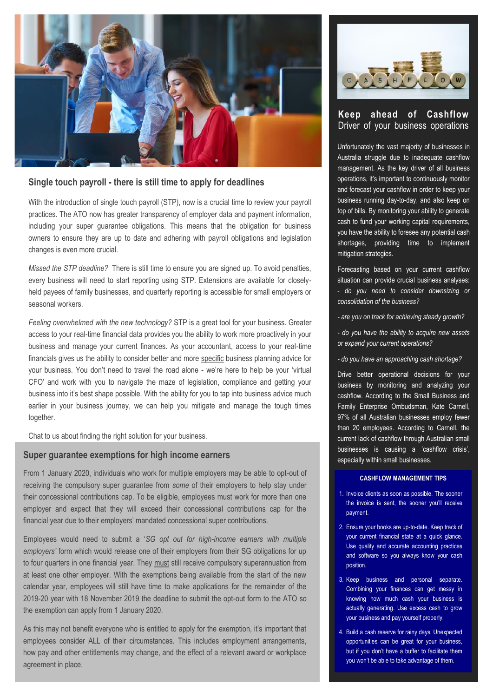

# **Single touch payroll - there is still time to apply for deadlines**

With the introduction of single touch payroll (STP), now is a crucial time to review your payroll practices. The ATO now has greater transparency of employer data and payment information, including your super guarantee obligations. This means that the obligation for business owners to ensure they are up to date and adhering with payroll obligations and legislation changes is even more crucial.

*Missed the STP deadline?* There is still time to ensure you are signed up. To avoid penalties, every business will need to start reporting using STP. Extensions are available for closelyheld payees of family businesses, and quarterly reporting is accessible for small employers or seasonal workers.

*Feeling overwhelmed with the new technology?* STP is a great tool for your business. Greater access to your real-time financial data provides you the ability to work more proactively in your business and manage your current finances. As your accountant, access to your real-time financials gives us the ability to consider better and more specific business planning advice for your business. You don't need to travel the road alone - we're here to help be your 'virtual CFO' and work with you to navigate the maze of legislation, compliance and getting your business into it's best shape possible. With the ability for you to tap into business advice much earlier in your business journey, we can help you mitigate and manage the tough times together.

Chat to us about finding the right solution for your business.

#### **Super guarantee exemptions for high income earners**

From 1 January 2020, individuals who work for multiple employers may be able to opt-out of receiving the compulsory super guarantee from *some* of their employers to help stay under their concessional contributions cap. To be eligible, employees must work for more than one employer and expect that they will exceed their concessional contributions cap for the financial year due to their employers' mandated concessional super contributions.

Employees would need to submit a '*SG opt out for high-income earners with multiple employers'* form which would release one of their employers from their SG obligations for up to four quarters in one financial year. They must still receive compulsory superannuation from at least one other employer. With the exemptions being available from the start of the new calendar year, employees will still have time to make applications for the remainder of the 2019-20 year with 18 November 2019 the deadline to submit the opt-out form to the ATO so the exemption can apply from 1 January 2020.

As this may not benefit everyone who is entitled to apply for the exemption, it's important that employees consider ALL of their circumstances. This includes employment arrangements, how pay and other entitlements may change, and the effect of a relevant award or workplace agreement in place.



# **Keep ahead of Cashflow** Driver of your business operations

Unfortunately the vast majority of businesses in Australia struggle due to inadequate cashflow management. As the key driver of all business operations, it's important to continuously monitor and forecast your cashflow in order to keep your business running day-to-day, and also keep on top of bills. By monitoring your ability to generate cash to fund your working capital requirements, you have the ability to foresee any potential cash shortages, providing time to implement mitigation strategies.

Forecasting based on your current cashflow situation can provide crucial business analyses: - *do you need to consider downsizing or consolidation of the business?* 

- *- are you on track for achieving steady growth?*
- *- do you have the ability to acquire new assets or expand your current operations?*
- *- do you have an approaching cash shortage?*

Drive better operational decisions for your business by monitoring and analyzing your cashflow. According to the Small Business and Family Enterprise Ombudsman, Kate Carnell, 97% of all Australian businesses employ fewer than 20 employees. According to Carnell, the current lack of cashflow through Australian small businesses is causing a 'cashflow crisis', especially within small businesses.

#### **CASHFLOW MANAGEMENT TIPS**

- 1. Invoice clients as soon as possible. The sooner the invoice is sent, the sooner you'll receive payment.
- 2. Ensure your books are up-to-date. Keep track of your current financial state at a quick glance. Use quality and accurate accounting practices and software so you always know your cash position.
- 3. Keep business and personal separate. Combining your finances can get messy in knowing how much cash your business is actually generating. Use excess cash to grow your business and pay yourself properly.
- 4. Build a cash reserve for rainy days. Unexpected opportunities can be great for your business, but if you don't have a buffer to facilitate them you won't be able to take advantage of them.